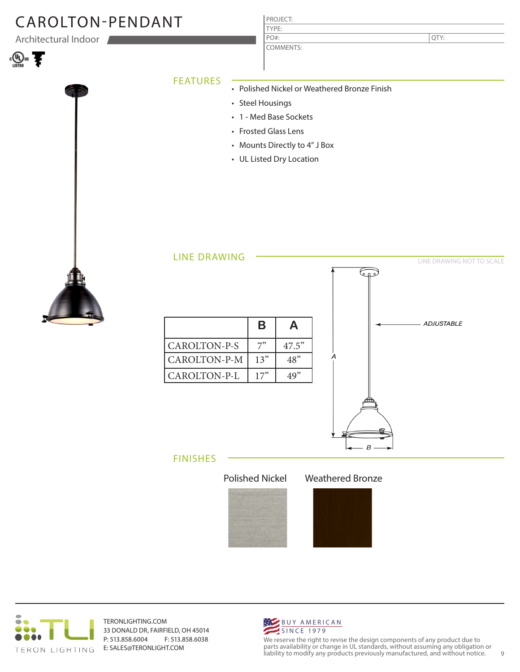## CAROLTON-PENDANT

Architectural Indoor







### PROJECT: TYPE:

COMMENTS: PO#:

QTY:

### FEATURES

- Polished Nickel or Weathered Bronze Finish
	- Steel Housings
	- 1 Med Base Sockets
- Frosted Glass Lens
- Mounts Directly to 4" J Box
- UL Listed Dry Location





#### FINISHES





TERONLIGHTING.COM 33 DONALD DR, FAIRFIELD, OH 45014 P: 513.858.6004 F: 513.858.6038 E: SALES@TERONLIGHT.COM



We reserve the right to revise the design components of any product due to parts availability or change in UL standards, without assuming any obligation or liability to modify any products previously manufactured, and without notice. 9